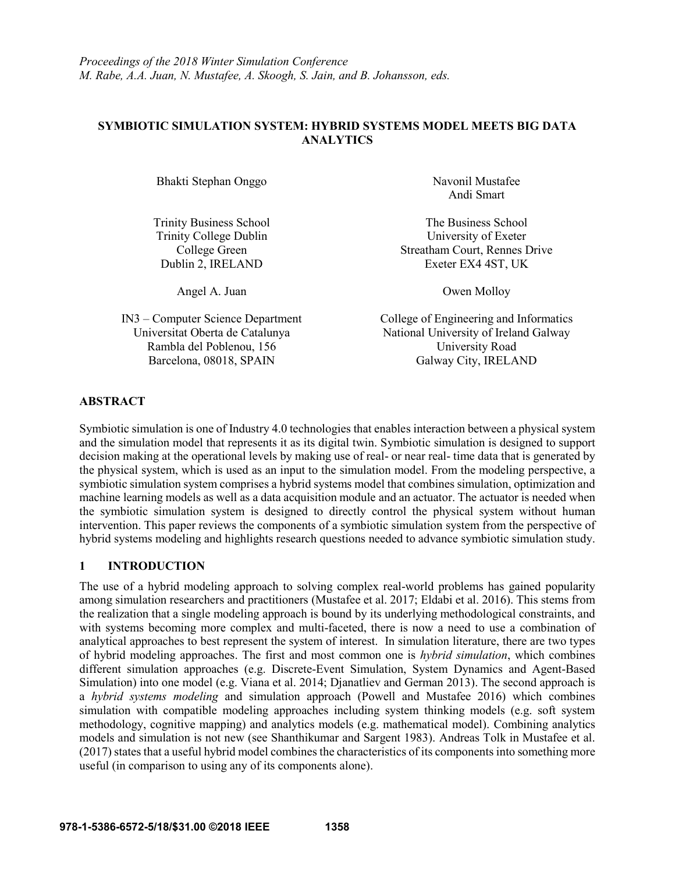# **SYMBIOTIC SIMULATION SYSTEM: HYBRID SYSTEMS MODEL MEETS BIG DATA ANALYTICS**

Bhakti Stephan Onggo Navonil Mustafee

Angel A. Juan Owen Molloy

Rambla del Poblenou, 156 University Road Barcelona, 08018, SPAIN Galway City, IRELAND

Andi Smart

Trinity Business School The Business School Trinity College Dublin University of Exeter College Green Streatham Court, Rennes Drive Dublin 2, IRELAND Exeter EX4 4ST, UK

IN3 – Computer Science Department College of Engineering and Informatics Universitat Oberta de Catalunya National University of Ireland Galway

# **ABSTRACT**

Symbiotic simulation is one of Industry 4.0 technologies that enables interaction between a physical system and the simulation model that represents it as its digital twin. Symbiotic simulation is designed to support decision making at the operational levels by making use of real- or near real- time data that is generated by the physical system, which is used as an input to the simulation model. From the modeling perspective, a symbiotic simulation system comprises a hybrid systems model that combines simulation, optimization and machine learning models as well as a data acquisition module and an actuator. The actuator is needed when the symbiotic simulation system is designed to directly control the physical system without human intervention. This paper reviews the components of a symbiotic simulation system from the perspective of hybrid systems modeling and highlights research questions needed to advance symbiotic simulation study.

# **1 INTRODUCTION**

The use of a hybrid modeling approach to solving complex real-world problems has gained popularity among simulation researchers and practitioners (Mustafee et al. 2017; Eldabi et al. 2016). This stems from the realization that a single modeling approach is bound by its underlying methodological constraints, and with systems becoming more complex and multi-faceted, there is now a need to use a combination of analytical approaches to best represent the system of interest. In simulation literature, there are two types of hybrid modeling approaches. The first and most common one is *hybrid simulation*, which combines different simulation approaches (e.g. Discrete-Event Simulation, System Dynamics and Agent-Based Simulation) into one model (e.g. Viana et al. 2014; Djanatliev and German 2013). The second approach is a *hybrid systems modeling* and simulation approach (Powell and Mustafee 2016) which combines simulation with compatible modeling approaches including system thinking models (e.g. soft system methodology, cognitive mapping) and analytics models (e.g. mathematical model). Combining analytics models and simulation is not new (see Shanthikumar and Sargent 1983). Andreas Tolk in Mustafee et al. (2017) states that a useful hybrid model combines the characteristics of its components into something more useful (in comparison to using any of its components alone).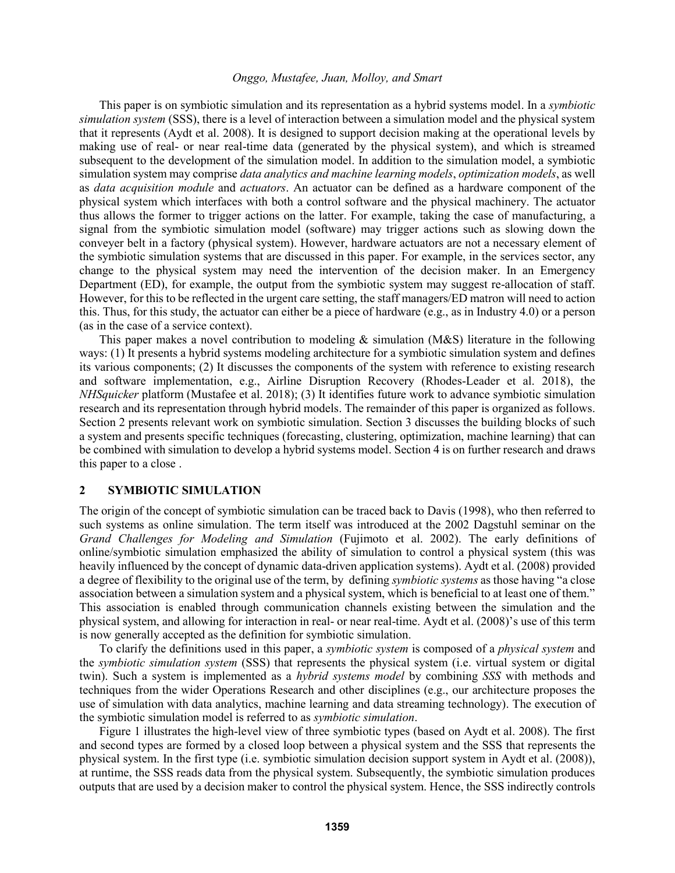This paper is on symbiotic simulation and its representation as a hybrid systems model. In a *symbiotic simulation system* (SSS), there is a level of interaction between a simulation model and the physical system that it represents (Aydt et al. 2008). It is designed to support decision making at the operational levels by making use of real- or near real-time data (generated by the physical system), and which is streamed subsequent to the development of the simulation model. In addition to the simulation model, a symbiotic simulation system may comprise *data analytics and machine learning models*, *optimization models*, as well as *data acquisition module* and *actuators*. An actuator can be defined as a hardware component of the physical system which interfaces with both a control software and the physical machinery. The actuator thus allows the former to trigger actions on the latter. For example, taking the case of manufacturing, a signal from the symbiotic simulation model (software) may trigger actions such as slowing down the conveyer belt in a factory (physical system). However, hardware actuators are not a necessary element of the symbiotic simulation systems that are discussed in this paper. For example, in the services sector, any change to the physical system may need the intervention of the decision maker. In an Emergency Department (ED), for example, the output from the symbiotic system may suggest re-allocation of staff. However, for this to be reflected in the urgent care setting, the staff managers/ED matron will need to action this. Thus, for this study, the actuator can either be a piece of hardware (e.g., as in Industry 4.0) or a person (as in the case of a service context).

This paper makes a novel contribution to modeling  $\&$  simulation (M&S) literature in the following ways: (1) It presents a hybrid systems modeling architecture for a symbiotic simulation system and defines its various components; (2) It discusses the components of the system with reference to existing research and software implementation, e.g., Airline Disruption Recovery (Rhodes-Leader et al. 2018), the *NHSquicker* platform (Mustafee et al. 2018); (3) It identifies future work to advance symbiotic simulation research and its representation through hybrid models. The remainder of this paper is organized as follows. Section 2 presents relevant work on symbiotic simulation. Section 3 discusses the building blocks of such a system and presents specific techniques (forecasting, clustering, optimization, machine learning) that can be combined with simulation to develop a hybrid systems model. Section 4 is on further research and draws this paper to a close .

### **2 SYMBIOTIC SIMULATION**

The origin of the concept of symbiotic simulation can be traced back to Davis (1998), who then referred to such systems as online simulation. The term itself was introduced at the 2002 Dagstuhl seminar on the *Grand Challenges for Modeling and Simulation* (Fujimoto et al. 2002). The early definitions of online/symbiotic simulation emphasized the ability of simulation to control a physical system (this was heavily influenced by the concept of dynamic data-driven application systems). Aydt et al. (2008) provided a degree of flexibility to the original use of the term, by defining *symbiotic systems* as those having "a close association between a simulation system and a physical system, which is beneficial to at least one of them." This association is enabled through communication channels existing between the simulation and the physical system, and allowing for interaction in real- or near real-time. Aydt et al. (2008)'s use of this term is now generally accepted as the definition for symbiotic simulation.

To clarify the definitions used in this paper, a *symbiotic system* is composed of a *physical system* and the *symbiotic simulation system* (SSS) that represents the physical system (i.e. virtual system or digital twin). Such a system is implemented as a *hybrid systems model* by combining *SSS* with methods and techniques from the wider Operations Research and other disciplines (e.g., our architecture proposes the use of simulation with data analytics, machine learning and data streaming technology). The execution of the symbiotic simulation model is referred to as *symbiotic simulation*.

Figure 1 illustrates the high-level view of three symbiotic types (based on Aydt et al. 2008). The first and second types are formed by a closed loop between a physical system and the SSS that represents the physical system. In the first type (i.e. symbiotic simulation decision support system in Aydt et al. (2008)), at runtime, the SSS reads data from the physical system. Subsequently, the symbiotic simulation produces outputs that are used by a decision maker to control the physical system. Hence, the SSS indirectly controls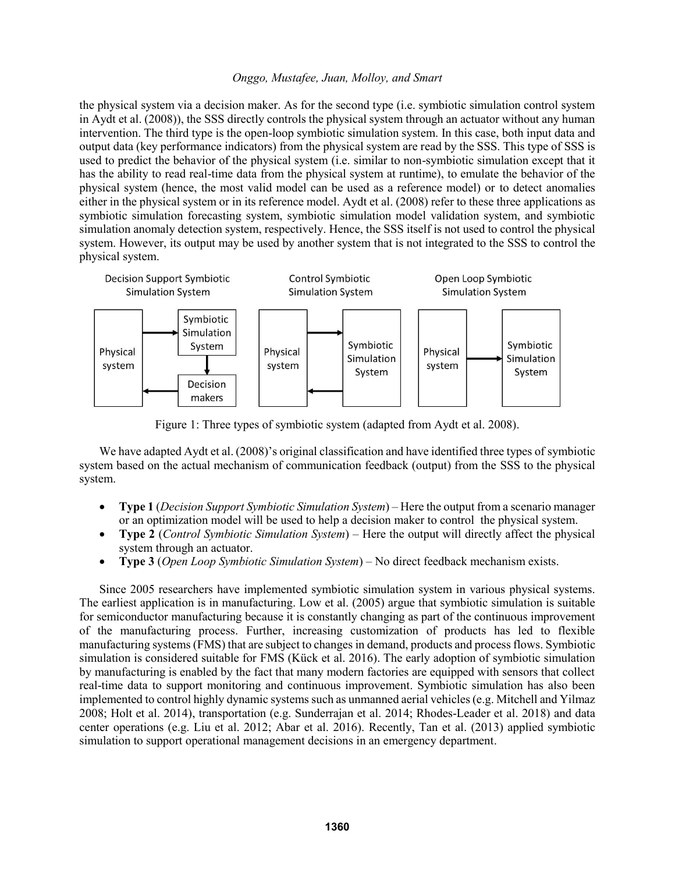the physical system via a decision maker. As for the second type (i.e. symbiotic simulation control system in Aydt et al. (2008)), the SSS directly controls the physical system through an actuator without any human intervention. The third type is the open-loop symbiotic simulation system. In this case, both input data and output data (key performance indicators) from the physical system are read by the SSS. This type of SSS is used to predict the behavior of the physical system (i.e. similar to non-symbiotic simulation except that it has the ability to read real-time data from the physical system at runtime), to emulate the behavior of the physical system (hence, the most valid model can be used as a reference model) or to detect anomalies either in the physical system or in its reference model. Aydt et al. (2008) refer to these three applications as symbiotic simulation forecasting system, symbiotic simulation model validation system, and symbiotic simulation anomaly detection system, respectively. Hence, the SSS itself is not used to control the physical system. However, its output may be used by another system that is not integrated to the SSS to control the physical system.



Figure 1: Three types of symbiotic system (adapted from Aydt et al. 2008).

We have adapted Aydt et al. (2008)'s original classification and have identified three types of symbiotic system based on the actual mechanism of communication feedback (output) from the SSS to the physical system.

- **Type 1** (*Decision Support Symbiotic Simulation System*) Here the output from a scenario manager or an optimization model will be used to help a decision maker to control the physical system.
- **Type 2** (*Control Symbiotic Simulation System*) Here the output will directly affect the physical system through an actuator.
- **Type 3** (*Open Loop Symbiotic Simulation System*) No direct feedback mechanism exists.

Since 2005 researchers have implemented symbiotic simulation system in various physical systems. The earliest application is in manufacturing. Low et al. (2005) argue that symbiotic simulation is suitable for semiconductor manufacturing because it is constantly changing as part of the continuous improvement of the manufacturing process. Further, increasing customization of products has led to flexible manufacturing systems (FMS) that are subject to changes in demand, products and process flows. Symbiotic simulation is considered suitable for FMS (Kück et al. 2016). The early adoption of symbiotic simulation by manufacturing is enabled by the fact that many modern factories are equipped with sensors that collect real-time data to support monitoring and continuous improvement. Symbiotic simulation has also been implemented to control highly dynamic systems such as unmanned aerial vehicles (e.g. Mitchell and Yilmaz 2008; Holt et al. 2014), transportation (e.g. Sunderrajan et al. 2014; Rhodes-Leader et al. 2018) and data center operations (e.g. Liu et al. 2012; Abar et al. 2016). Recently, Tan et al. (2013) applied symbiotic simulation to support operational management decisions in an emergency department.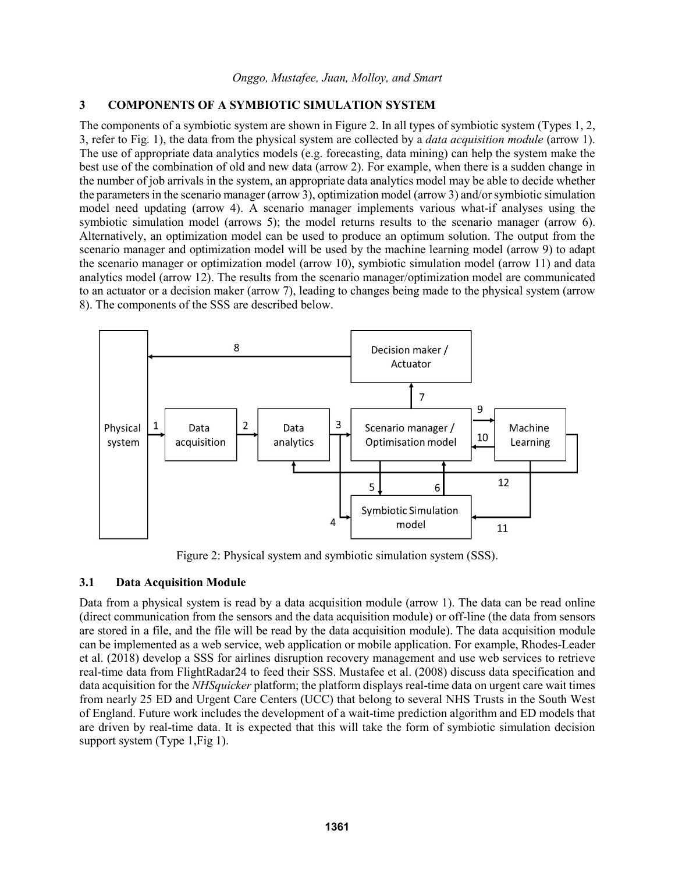# **3 COMPONENTS OF A SYMBIOTIC SIMULATION SYSTEM**

The components of a symbiotic system are shown in Figure 2. In all types of symbiotic system (Types 1, 2, 3, refer to Fig. 1), the data from the physical system are collected by a *data acquisition module* (arrow 1). The use of appropriate data analytics models (e.g. forecasting, data mining) can help the system make the best use of the combination of old and new data (arrow 2). For example, when there is a sudden change in the number of job arrivals in the system, an appropriate data analytics model may be able to decide whether the parameters in the scenario manager (arrow 3), optimization model (arrow 3) and/or symbiotic simulation model need updating (arrow 4). A scenario manager implements various what-if analyses using the symbiotic simulation model (arrows 5); the model returns results to the scenario manager (arrow 6). Alternatively, an optimization model can be used to produce an optimum solution. The output from the scenario manager and optimization model will be used by the machine learning model (arrow 9) to adapt the scenario manager or optimization model (arrow 10), symbiotic simulation model (arrow 11) and data analytics model (arrow 12). The results from the scenario manager/optimization model are communicated to an actuator or a decision maker (arrow 7), leading to changes being made to the physical system (arrow 8). The components of the SSS are described below.



Figure 2: Physical system and symbiotic simulation system (SSS).

# **3.1 Data Acquisition Module**

Data from a physical system is read by a data acquisition module (arrow 1). The data can be read online (direct communication from the sensors and the data acquisition module) or off-line (the data from sensors are stored in a file, and the file will be read by the data acquisition module). The data acquisition module can be implemented as a web service, web application or mobile application. For example, Rhodes-Leader et al. (2018) develop a SSS for airlines disruption recovery management and use web services to retrieve real-time data from FlightRadar24 to feed their SSS. Mustafee et al. (2008) discuss data specification and data acquisition for the *NHSquicker* platform; the platform displays real-time data on urgent care wait times from nearly 25 ED and Urgent Care Centers (UCC) that belong to several NHS Trusts in the South West of England. Future work includes the development of a wait-time prediction algorithm and ED models that are driven by real-time data. It is expected that this will take the form of symbiotic simulation decision support system (Type 1, Fig 1).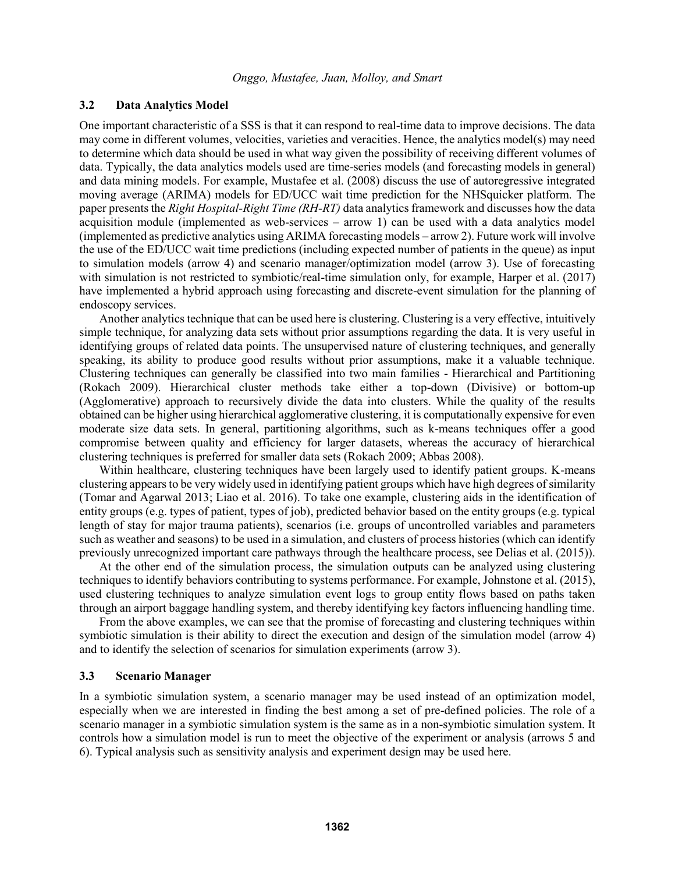### **3.2 Data Analytics Model**

One important characteristic of a SSS is that it can respond to real-time data to improve decisions. The data may come in different volumes, velocities, varieties and veracities. Hence, the analytics model(s) may need to determine which data should be used in what way given the possibility of receiving different volumes of data. Typically, the data analytics models used are time-series models (and forecasting models in general) and data mining models. For example, Mustafee et al. (2008) discuss the use of autoregressive integrated moving average (ARIMA) models for ED/UCC wait time prediction for the NHSquicker platform. The paper presents the *Right Hospital-Right Time (RH-RT)* data analytics framework and discusses how the data acquisition module (implemented as web-services – arrow 1) can be used with a data analytics model (implemented as predictive analytics using ARIMA forecasting models – arrow 2). Future work will involve the use of the ED/UCC wait time predictions (including expected number of patients in the queue) as input to simulation models (arrow 4) and scenario manager/optimization model (arrow 3). Use of forecasting with simulation is not restricted to symbiotic/real-time simulation only, for example, Harper et al. (2017) have implemented a hybrid approach using forecasting and discrete-event simulation for the planning of endoscopy services.

Another analytics technique that can be used here is clustering. Clustering is a very effective, intuitively simple technique, for analyzing data sets without prior assumptions regarding the data. It is very useful in identifying groups of related data points. The unsupervised nature of clustering techniques, and generally speaking, its ability to produce good results without prior assumptions, make it a valuable technique. Clustering techniques can generally be classified into two main families - Hierarchical and Partitioning (Rokach 2009). Hierarchical cluster methods take either a top-down (Divisive) or bottom-up (Agglomerative) approach to recursively divide the data into clusters. While the quality of the results obtained can be higher using hierarchical agglomerative clustering, it is computationally expensive for even moderate size data sets. In general, partitioning algorithms, such as k-means techniques offer a good compromise between quality and efficiency for larger datasets, whereas the accuracy of hierarchical clustering techniques is preferred for smaller data sets (Rokach 2009; Abbas 2008).

Within healthcare, clustering techniques have been largely used to identify patient groups. K-means clustering appears to be very widely used in identifying patient groups which have high degrees of similarity (Tomar and Agarwal 2013; Liao et al. 2016). To take one example, clustering aids in the identification of entity groups (e.g. types of patient, types of job), predicted behavior based on the entity groups (e.g. typical length of stay for major trauma patients), scenarios (i.e. groups of uncontrolled variables and parameters such as weather and seasons) to be used in a simulation, and clusters of process histories (which can identify previously unrecognized important care pathways through the healthcare process, see Delias et al. (2015)).

At the other end of the simulation process, the simulation outputs can be analyzed using clustering techniques to identify behaviors contributing to systems performance. For example, Johnstone et al. (2015), used clustering techniques to analyze simulation event logs to group entity flows based on paths taken through an airport baggage handling system, and thereby identifying key factors influencing handling time.

From the above examples, we can see that the promise of forecasting and clustering techniques within symbiotic simulation is their ability to direct the execution and design of the simulation model (arrow 4) and to identify the selection of scenarios for simulation experiments (arrow 3).

### **3.3 Scenario Manager**

In a symbiotic simulation system, a scenario manager may be used instead of an optimization model, especially when we are interested in finding the best among a set of pre-defined policies. The role of a scenario manager in a symbiotic simulation system is the same as in a non-symbiotic simulation system. It controls how a simulation model is run to meet the objective of the experiment or analysis (arrows 5 and 6). Typical analysis such as sensitivity analysis and experiment design may be used here.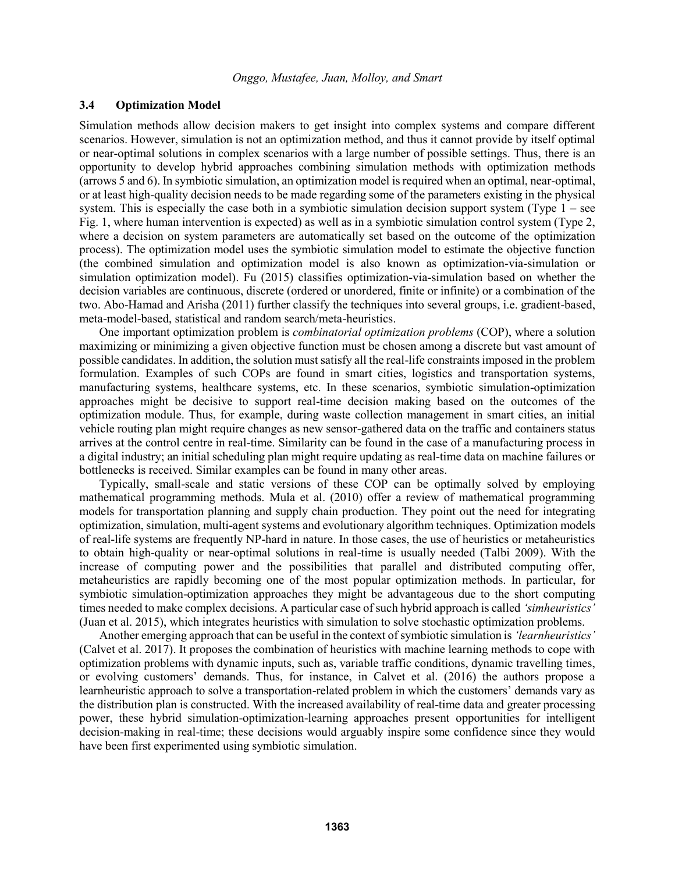### **3.4 Optimization Model**

Simulation methods allow decision makers to get insight into complex systems and compare different scenarios. However, simulation is not an optimization method, and thus it cannot provide by itself optimal or near-optimal solutions in complex scenarios with a large number of possible settings. Thus, there is an opportunity to develop hybrid approaches combining simulation methods with optimization methods (arrows 5 and 6). In symbiotic simulation, an optimization model is required when an optimal, near-optimal, or at least high-quality decision needs to be made regarding some of the parameters existing in the physical system. This is especially the case both in a symbiotic simulation decision support system (Type 1 – see Fig. 1, where human intervention is expected) as well as in a symbiotic simulation control system (Type 2, where a decision on system parameters are automatically set based on the outcome of the optimization process). The optimization model uses the symbiotic simulation model to estimate the objective function (the combined simulation and optimization model is also known as optimization-via-simulation or simulation optimization model). Fu (2015) classifies optimization-via-simulation based on whether the decision variables are continuous, discrete (ordered or unordered, finite or infinite) or a combination of the two. Abo-Hamad and Arisha (2011) further classify the techniques into several groups, i.e. gradient-based, meta-model-based, statistical and random search/meta-heuristics.

One important optimization problem is *combinatorial optimization problems* (COP), where a solution maximizing or minimizing a given objective function must be chosen among a discrete but vast amount of possible candidates. In addition, the solution must satisfy all the real-life constraints imposed in the problem formulation. Examples of such COPs are found in smart cities, logistics and transportation systems, manufacturing systems, healthcare systems, etc. In these scenarios, symbiotic simulation-optimization approaches might be decisive to support real-time decision making based on the outcomes of the optimization module. Thus, for example, during waste collection management in smart cities, an initial vehicle routing plan might require changes as new sensor-gathered data on the traffic and containers status arrives at the control centre in real-time. Similarity can be found in the case of a manufacturing process in a digital industry; an initial scheduling plan might require updating as real-time data on machine failures or bottlenecks is received. Similar examples can be found in many other areas.

Typically, small-scale and static versions of these COP can be optimally solved by employing mathematical programming methods. Mula et al. (2010) offer a review of mathematical programming models for transportation planning and supply chain production. They point out the need for integrating optimization, simulation, multi-agent systems and evolutionary algorithm techniques. Optimization models of real-life systems are frequently NP-hard in nature. In those cases, the use of heuristics or metaheuristics to obtain high-quality or near-optimal solutions in real-time is usually needed (Talbi 2009). With the increase of computing power and the possibilities that parallel and distributed computing offer, metaheuristics are rapidly becoming one of the most popular optimization methods. In particular, for symbiotic simulation-optimization approaches they might be advantageous due to the short computing times needed to make complex decisions. A particular case of such hybrid approach is called *'simheuristics'* (Juan et al. 2015), which integrates heuristics with simulation to solve stochastic optimization problems.

Another emerging approach that can be useful in the context of symbiotic simulation is *'learnheuristics'* (Calvet et al. 2017). It proposes the combination of heuristics with machine learning methods to cope with optimization problems with dynamic inputs, such as, variable traffic conditions, dynamic travelling times, or evolving customers' demands. Thus, for instance, in Calvet et al. (2016) the authors propose a learnheuristic approach to solve a transportation-related problem in which the customers' demands vary as the distribution plan is constructed. With the increased availability of real-time data and greater processing power, these hybrid simulation-optimization-learning approaches present opportunities for intelligent decision-making in real-time; these decisions would arguably inspire some confidence since they would have been first experimented using symbiotic simulation.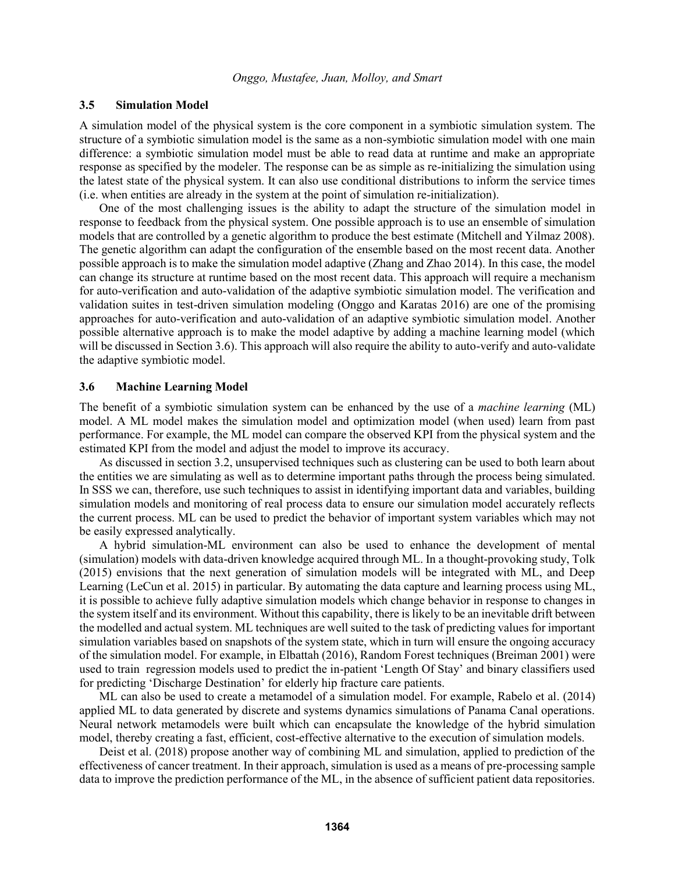### **3.5 Simulation Model**

A simulation model of the physical system is the core component in a symbiotic simulation system. The structure of a symbiotic simulation model is the same as a non-symbiotic simulation model with one main difference: a symbiotic simulation model must be able to read data at runtime and make an appropriate response as specified by the modeler. The response can be as simple as re-initializing the simulation using the latest state of the physical system. It can also use conditional distributions to inform the service times (i.e. when entities are already in the system at the point of simulation re-initialization).

One of the most challenging issues is the ability to adapt the structure of the simulation model in response to feedback from the physical system. One possible approach is to use an ensemble of simulation models that are controlled by a genetic algorithm to produce the best estimate (Mitchell and Yilmaz 2008). The genetic algorithm can adapt the configuration of the ensemble based on the most recent data. Another possible approach is to make the simulation model adaptive (Zhang and Zhao 2014). In this case, the model can change its structure at runtime based on the most recent data. This approach will require a mechanism for auto-verification and auto-validation of the adaptive symbiotic simulation model. The verification and validation suites in test-driven simulation modeling (Onggo and Karatas 2016) are one of the promising approaches for auto-verification and auto-validation of an adaptive symbiotic simulation model. Another possible alternative approach is to make the model adaptive by adding a machine learning model (which will be discussed in Section 3.6). This approach will also require the ability to auto-verify and auto-validate the adaptive symbiotic model.

### **3.6 Machine Learning Model**

The benefit of a symbiotic simulation system can be enhanced by the use of a *machine learning* (ML) model. A ML model makes the simulation model and optimization model (when used) learn from past performance. For example, the ML model can compare the observed KPI from the physical system and the estimated KPI from the model and adjust the model to improve its accuracy.

As discussed in section 3.2, unsupervised techniques such as clustering can be used to both learn about the entities we are simulating as well as to determine important paths through the process being simulated. In SSS we can, therefore, use such techniques to assist in identifying important data and variables, building simulation models and monitoring of real process data to ensure our simulation model accurately reflects the current process. ML can be used to predict the behavior of important system variables which may not be easily expressed analytically.

A hybrid simulation-ML environment can also be used to enhance the development of mental (simulation) models with data-driven knowledge acquired through ML. In a thought-provoking study, Tolk (2015) envisions that the next generation of simulation models will be integrated with ML, and Deep Learning (LeCun et al. 2015) in particular. By automating the data capture and learning process using ML, it is possible to achieve fully adaptive simulation models which change behavior in response to changes in the system itself and its environment. Without this capability, there is likely to be an inevitable drift between the modelled and actual system. ML techniques are well suited to the task of predicting values for important simulation variables based on snapshots of the system state, which in turn will ensure the ongoing accuracy of the simulation model. For example, in Elbattah (2016), Random Forest techniques (Breiman 2001) were used to train regression models used to predict the in-patient 'Length Of Stay' and binary classifiers used for predicting 'Discharge Destination' for elderly hip fracture care patients.

ML can also be used to create a metamodel of a simulation model. For example, Rabelo et al. (2014) applied ML to data generated by discrete and systems dynamics simulations of Panama Canal operations. Neural network metamodels were built which can encapsulate the knowledge of the hybrid simulation model, thereby creating a fast, efficient, cost-effective alternative to the execution of simulation models.

Deist et al. (2018) propose another way of combining ML and simulation, applied to prediction of the effectiveness of cancer treatment. In their approach, simulation is used as a means of pre-processing sample data to improve the prediction performance of the ML, in the absence of sufficient patient data repositories.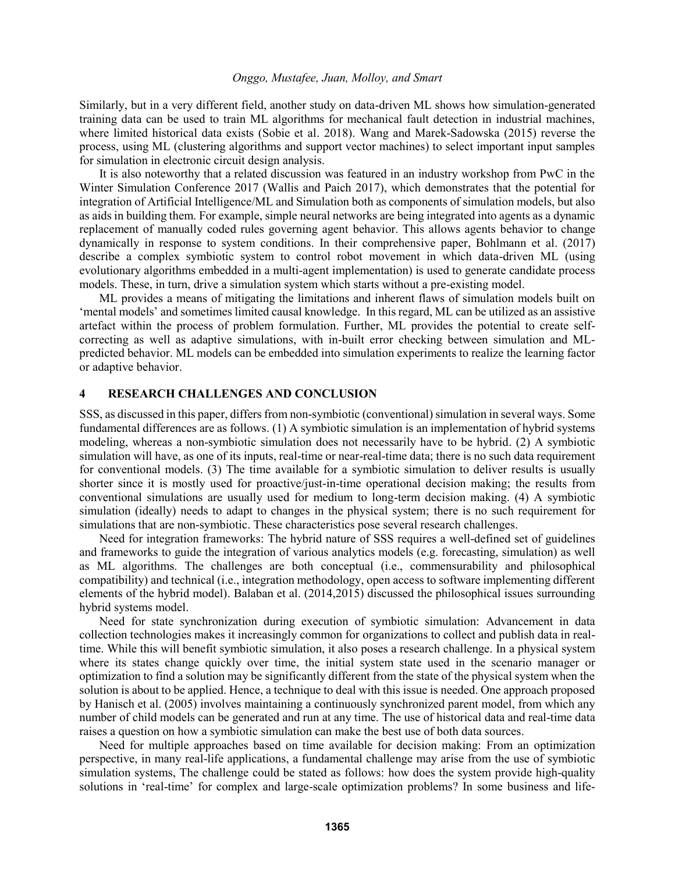Similarly, but in a very different field, another study on data-driven ML shows how simulation-generated training data can be used to train ML algorithms for mechanical fault detection in industrial machines, where limited historical data exists (Sobie et al. 2018). Wang and Marek-Sadowska (2015) reverse the process, using ML (clustering algorithms and support vector machines) to select important input samples for simulation in electronic circuit design analysis.

It is also noteworthy that a related discussion was featured in an industry workshop from PwC in the Winter Simulation Conference 2017 (Wallis and Paich 2017), which demonstrates that the potential for integration of Artificial Intelligence/ML and Simulation both as components of simulation models, but also as aids in building them. For example, simple neural networks are being integrated into agents as a dynamic replacement of manually coded rules governing agent behavior. This allows agents behavior to change dynamically in response to system conditions. In their comprehensive paper, Bohlmann et al. (2017) describe a complex symbiotic system to control robot movement in which data-driven ML (using evolutionary algorithms embedded in a multi-agent implementation) is used to generate candidate process models. These, in turn, drive a simulation system which starts without a pre-existing model.

ML provides a means of mitigating the limitations and inherent flaws of simulation models built on 'mental models' and sometimes limited causal knowledge. In this regard, ML can be utilized as an assistive artefact within the process of problem formulation. Further, ML provides the potential to create selfcorrecting as well as adaptive simulations, with in-built error checking between simulation and MLpredicted behavior. ML models can be embedded into simulation experiments to realize the learning factor or adaptive behavior.

# **4 RESEARCH CHALLENGES AND CONCLUSION**

SSS, as discussed in this paper, differs from non-symbiotic (conventional) simulation in several ways. Some fundamental differences are as follows. (1) A symbiotic simulation is an implementation of hybrid systems modeling, whereas a non-symbiotic simulation does not necessarily have to be hybrid. (2) A symbiotic simulation will have, as one of its inputs, real-time or near-real-time data; there is no such data requirement for conventional models. (3) The time available for a symbiotic simulation to deliver results is usually shorter since it is mostly used for proactive/just-in-time operational decision making; the results from conventional simulations are usually used for medium to long-term decision making. (4) A symbiotic simulation (ideally) needs to adapt to changes in the physical system; there is no such requirement for simulations that are non-symbiotic. These characteristics pose several research challenges.

Need for integration frameworks: The hybrid nature of SSS requires a well-defined set of guidelines and frameworks to guide the integration of various analytics models (e.g. forecasting, simulation) as well as ML algorithms. The challenges are both conceptual (i.e., commensurability and philosophical compatibility) and technical (i.e., integration methodology, open access to software implementing different elements of the hybrid model). Balaban et al. (2014,2015) discussed the philosophical issues surrounding hybrid systems model.

Need for state synchronization during execution of symbiotic simulation: Advancement in data collection technologies makes it increasingly common for organizations to collect and publish data in realtime. While this will benefit symbiotic simulation, it also poses a research challenge. In a physical system where its states change quickly over time, the initial system state used in the scenario manager or optimization to find a solution may be significantly different from the state of the physical system when the solution is about to be applied. Hence, a technique to deal with this issue is needed. One approach proposed by Hanisch et al. (2005) involves maintaining a continuously synchronized parent model, from which any number of child models can be generated and run at any time. The use of historical data and real-time data raises a question on how a symbiotic simulation can make the best use of both data sources.

Need for multiple approaches based on time available for decision making: From an optimization perspective, in many real-life applications, a fundamental challenge may arise from the use of symbiotic simulation systems, The challenge could be stated as follows: how does the system provide high-quality solutions in 'real-time' for complex and large-scale optimization problems? In some business and life-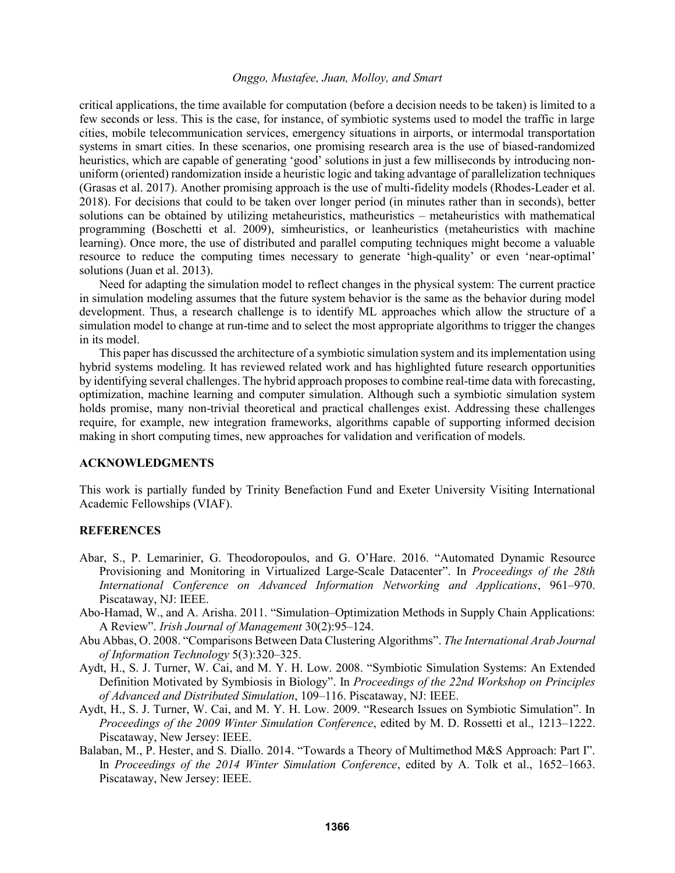critical applications, the time available for computation (before a decision needs to be taken) is limited to a few seconds or less. This is the case, for instance, of symbiotic systems used to model the traffic in large cities, mobile telecommunication services, emergency situations in airports, or intermodal transportation systems in smart cities. In these scenarios, one promising research area is the use of biased-randomized heuristics, which are capable of generating 'good' solutions in just a few milliseconds by introducing nonuniform (oriented) randomization inside a heuristic logic and taking advantage of parallelization techniques (Grasas et al. 2017). Another promising approach is the use of multi-fidelity models (Rhodes-Leader et al. 2018). For decisions that could to be taken over longer period (in minutes rather than in seconds), better solutions can be obtained by utilizing metaheuristics, matheuristics – metaheuristics with mathematical programming (Boschetti et al. 2009), simheuristics, or leanheuristics (metaheuristics with machine learning). Once more, the use of distributed and parallel computing techniques might become a valuable resource to reduce the computing times necessary to generate 'high-quality' or even 'near-optimal' solutions (Juan et al. 2013).

Need for adapting the simulation model to reflect changes in the physical system: The current practice in simulation modeling assumes that the future system behavior is the same as the behavior during model development. Thus, a research challenge is to identify ML approaches which allow the structure of a simulation model to change at run-time and to select the most appropriate algorithms to trigger the changes in its model.

This paper has discussed the architecture of a symbiotic simulation system and its implementation using hybrid systems modeling. It has reviewed related work and has highlighted future research opportunities by identifying several challenges. The hybrid approach proposes to combine real-time data with forecasting, optimization, machine learning and computer simulation. Although such a symbiotic simulation system holds promise, many non-trivial theoretical and practical challenges exist. Addressing these challenges require, for example, new integration frameworks, algorithms capable of supporting informed decision making in short computing times, new approaches for validation and verification of models.

#### **ACKNOWLEDGMENTS**

This work is partially funded by Trinity Benefaction Fund and Exeter University Visiting International Academic Fellowships (VIAF).

### **REFERENCES**

- Abar, S., P. Lemarinier, G. Theodoropoulos, and G. O'Hare. 2016. "Automated Dynamic Resource Provisioning and Monitoring in Virtualized Large-Scale Datacenter". In *Proceedings of the 28th International Conference on Advanced Information Networking and Applications*, 961–970. Piscataway, NJ: IEEE.
- Abo-Hamad, W., and A. Arisha. 2011. "Simulation–Optimization Methods in Supply Chain Applications: A Review". *Irish Journal of Management* 30(2):95–124.
- Abu Abbas, O. 2008. "Comparisons Between Data Clustering Algorithms". *The International Arab Journal of Information Technology* 5(3):320–325.
- Aydt, H., S. J. Turner, W. Cai, and M. Y. H. Low. 2008. "Symbiotic Simulation Systems: An Extended Definition Motivated by Symbiosis in Biology". In *Proceedings of the 22nd Workshop on Principles of Advanced and Distributed Simulation*, 109–116. Piscataway, NJ: IEEE.
- Aydt, H., S. J. Turner, W. Cai, and M. Y. H. Low. 2009. "Research Issues on Symbiotic Simulation". In *Proceedings of the 2009 Winter Simulation Conference*, edited by M. D. Rossetti et al., 1213–1222. Piscataway, New Jersey: IEEE.
- Balaban, M., P. Hester, and S. Diallo. 2014. "Towards a Theory of Multimethod M&S Approach: Part I". In *Proceedings of the 2014 Winter Simulation Conference*, edited by A. Tolk et al., 1652–1663. Piscataway, New Jersey: IEEE.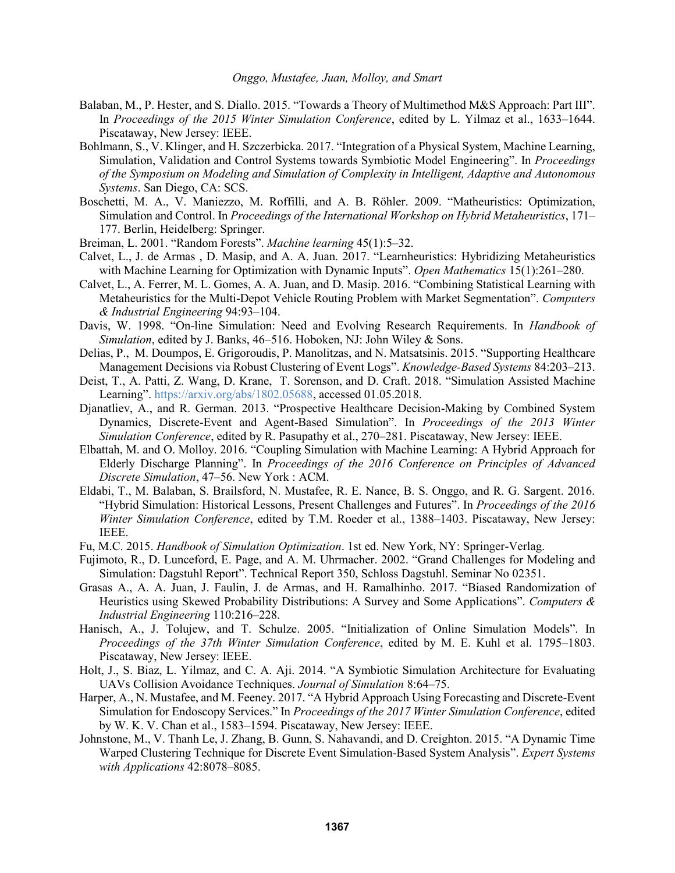- Balaban, M., P. Hester, and S. Diallo. 2015. "Towards a Theory of Multimethod M&S Approach: Part III". In *Proceedings of the 2015 Winter Simulation Conference*, edited by L. Yilmaz et al., 1633–1644. Piscataway, New Jersey: IEEE.
- Bohlmann, S., V. Klinger, and H. Szczerbicka. 2017. "Integration of a Physical System, Machine Learning, Simulation, Validation and Control Systems towards Symbiotic Model Engineering". In *Proceedings of the Symposium on Modeling and Simulation of Complexity in Intelligent, Adaptive and Autonomous Systems*. San Diego, CA: SCS.
- Boschetti, M. A., V. Maniezzo, M. Roffilli, and A. B. Röhler. 2009. "Matheuristics: Optimization, Simulation and Control. In *Proceedings of the International Workshop on Hybrid Metaheuristics*, 171– 177. Berlin, Heidelberg: Springer.
- Breiman, L. 2001. "Random Forests". *Machine learning* 45(1):5–32.
- Calvet, L., J. de Armas , D. Masip, and A. A. Juan. 2017. "Learnheuristics: Hybridizing Metaheuristics with Machine Learning for Optimization with Dynamic Inputs". *Open Mathematics* 15(1):261–280.
- Calvet, L., A. Ferrer, M. L. Gomes, A. A. Juan, and D. Masip. 2016. "Combining Statistical Learning with Metaheuristics for the Multi-Depot Vehicle Routing Problem with Market Segmentation". *Computers & Industrial Engineering* 94:93–104.
- Davis, W. 1998. "On-line Simulation: Need and Evolving Research Requirements. In *Handbook of Simulation*, edited by J. Banks, 46–516. Hoboken, NJ: John Wiley & Sons.
- Delias, P., M. Doumpos, E. Grigoroudis, P. Manolitzas, and N. Matsatsinis. 2015. "Supporting Healthcare Management Decisions via Robust Clustering of Event Logs". *Knowledge-Based Systems* 84:203–213.
- Deist, T., A. Patti, Z. Wang, D. Krane, T. Sorenson, and D. Craft. 2018. "Simulation Assisted Machine Learning". https://arxiv.org/abs/1802.05688, accessed 01.05.2018.
- Djanatliev, A., and R. German. 2013. "Prospective Healthcare Decision-Making by Combined System Dynamics, Discrete-Event and Agent-Based Simulation". In *Proceedings of the 2013 Winter Simulation Conference*, edited by R. Pasupathy et al., 270–281. Piscataway, New Jersey: IEEE.
- Elbattah, M. and O. Molloy. 2016. "Coupling Simulation with Machine Learning: A Hybrid Approach for Elderly Discharge Planning". In *Proceedings of the 2016 Conference on Principles of Advanced Discrete Simulation*, 47–56. New York : ACM.
- Eldabi, T., M. Balaban, S. Brailsford, N. Mustafee, R. E. Nance, B. S. Onggo, and R. G. Sargent. 2016. "Hybrid Simulation: Historical Lessons, Present Challenges and Futures". In *Proceedings of the 2016 Winter Simulation Conference*, edited by T.M. Roeder et al., 1388–1403. Piscataway, New Jersey: IEEE.
- Fu, M.C. 2015. *Handbook of Simulation Optimization*. 1st ed. New York, NY: Springer-Verlag.
- Fujimoto, R., D. Lunceford, E. Page, and A. M. Uhrmacher. 2002. "Grand Challenges for Modeling and Simulation: Dagstuhl Report". Technical Report 350, Schloss Dagstuhl. Seminar No 02351.
- Grasas A., A. A. Juan, J. Faulin, J. de Armas, and H. Ramalhinho. 2017. "Biased Randomization of Heuristics using Skewed Probability Distributions: A Survey and Some Applications". *Computers & Industrial Engineering* 110:216–228.
- Hanisch, A., J. Tolujew, and T. Schulze. 2005. "Initialization of Online Simulation Models". In *Proceedings of the 37th Winter Simulation Conference*, edited by M. E. Kuhl et al. 1795–1803. Piscataway, New Jersey: IEEE.
- Holt, J., S. Biaz, L. Yilmaz, and C. A. Aji. 2014. "A Symbiotic Simulation Architecture for Evaluating UAVs Collision Avoidance Techniques. *Journal of Simulation* 8:64–75.
- Harper, A., N. Mustafee, and M. Feeney. 2017. "A Hybrid Approach Using Forecasting and Discrete-Event Simulation for Endoscopy Services." In *Proceedings of the 2017 Winter Simulation Conference*, edited by W. K. V. Chan et al., 1583–1594. Piscataway, New Jersey: IEEE.
- Johnstone, M., V. Thanh Le, J. Zhang, B. Gunn, S. Nahavandi, and D. Creighton. 2015. "A Dynamic Time Warped Clustering Technique for Discrete Event Simulation-Based System Analysis". *Expert Systems with Applications* 42:8078–8085.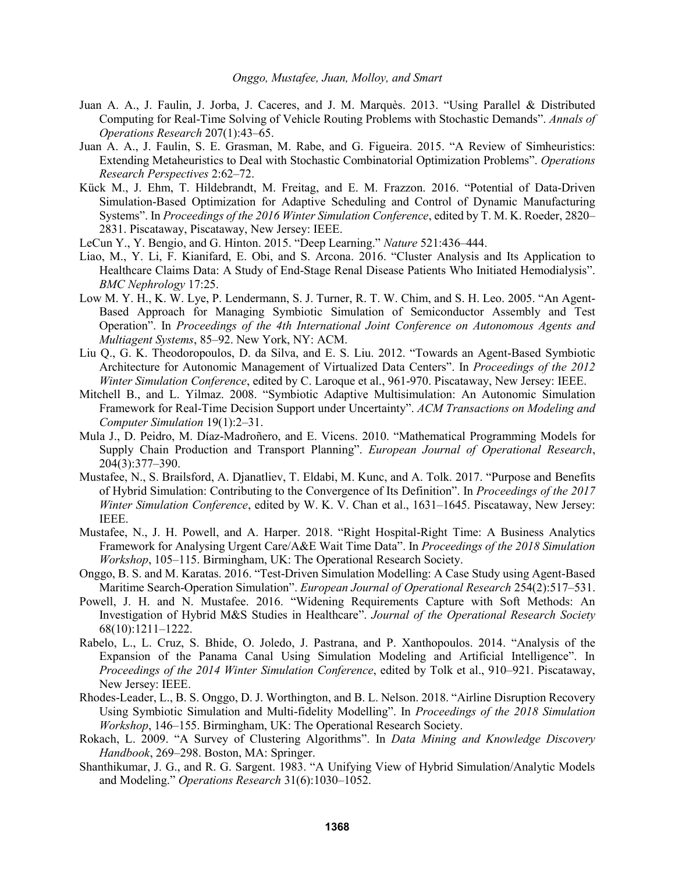- Juan A. A., J. Faulin, J. Jorba, J. Caceres, and J. M. Marquès. 2013. "Using Parallel & Distributed Computing for Real-Time Solving of Vehicle Routing Problems with Stochastic Demands". *Annals of Operations Research* 207(1):43–65.
- Juan A. A., J. Faulin, S. E. Grasman, M. Rabe, and G. Figueira. 2015. "A Review of Simheuristics: Extending Metaheuristics to Deal with Stochastic Combinatorial Optimization Problems". *Operations Research Perspectives* 2:62–72.
- Kück M., J. Ehm, T. Hildebrandt, M. Freitag, and E. M. Frazzon. 2016. "Potential of Data-Driven Simulation-Based Optimization for Adaptive Scheduling and Control of Dynamic Manufacturing Systems". In *Proceedings of the 2016 Winter Simulation Conference*, edited by T. M. K. Roeder, 2820– 2831. Piscataway, Piscataway, New Jersey: IEEE.
- LeCun Y., Y. Bengio, and G. Hinton. 2015. "Deep Learning." *Nature* 521:436–444.
- Liao, M., Y. Li, F. Kianifard, E. Obi, and S. Arcona. 2016. "Cluster Analysis and Its Application to Healthcare Claims Data: A Study of End-Stage Renal Disease Patients Who Initiated Hemodialysis". *BMC Nephrology* 17:25.
- Low M. Y. H., K. W. Lye, P. Lendermann, S. J. Turner, R. T. W. Chim, and S. H. Leo. 2005. "An Agent-Based Approach for Managing Symbiotic Simulation of Semiconductor Assembly and Test Operation". In *Proceedings of the 4th International Joint Conference on Autonomous Agents and Multiagent Systems*, 85–92. New York, NY: ACM.
- Liu Q., G. K. Theodoropoulos, D. da Silva, and E. S. Liu. 2012. "Towards an Agent-Based Symbiotic Architecture for Autonomic Management of Virtualized Data Centers". In *Proceedings of the 2012 Winter Simulation Conference*, edited by C. Laroque et al., 961-970. Piscataway, New Jersey: IEEE.
- Mitchell B., and L. Yilmaz. 2008. "Symbiotic Adaptive Multisimulation: An Autonomic Simulation Framework for Real-Time Decision Support under Uncertainty". *ACM Transactions on Modeling and Computer Simulation* 19(1):2–31.
- Mula J., D. Peidro, M. Díaz-Madroñero, and E. Vicens. 2010. "Mathematical Programming Models for Supply Chain Production and Transport Planning". *European Journal of Operational Research*, 204(3):377–390.
- Mustafee, N., S. Brailsford, A. Djanatliev, T. Eldabi, M. Kunc, and A. Tolk. 2017. "Purpose and Benefits of Hybrid Simulation: Contributing to the Convergence of Its Definition". In *Proceedings of the 2017 Winter Simulation Conference*, edited by W. K. V. Chan et al., 1631–1645. Piscataway, New Jersey: IEEE.
- Mustafee, N., J. H. Powell, and A. Harper. 2018. "Right Hospital-Right Time: A Business Analytics Framework for Analysing Urgent Care/A&E Wait Time Data". In *Proceedings of the 2018 Simulation Workshop*, 105–115. Birmingham, UK: The Operational Research Society.
- Onggo, B. S. and M. Karatas. 2016. "Test-Driven Simulation Modelling: A Case Study using Agent-Based Maritime Search-Operation Simulation". *European Journal of Operational Research* 254(2):517–531.
- Powell, J. H. and N. Mustafee. 2016. "Widening Requirements Capture with Soft Methods: An Investigation of Hybrid M&S Studies in Healthcare". *Journal of the Operational Research Society* 68(10):1211–1222.
- Rabelo, L., L. Cruz, S. Bhide, O. Joledo, J. Pastrana, and P. Xanthopoulos. 2014. "Analysis of the Expansion of the Panama Canal Using Simulation Modeling and Artificial Intelligence". In *Proceedings of the 2014 Winter Simulation Conference*, edited by Tolk et al., 910–921. Piscataway, New Jersey: IEEE.
- Rhodes-Leader, L., B. S. Onggo, D. J. Worthington, and B. L. Nelson. 2018. "Airline Disruption Recovery Using Symbiotic Simulation and Multi-fidelity Modelling". In *Proceedings of the 2018 Simulation Workshop*, 146–155. Birmingham, UK: The Operational Research Society.
- Rokach, L. 2009. "A Survey of Clustering Algorithms". In *Data Mining and Knowledge Discovery Handbook*, 269–298. Boston, MA: Springer.
- Shanthikumar, J. G., and R. G. Sargent. 1983. "A Unifying View of Hybrid Simulation/Analytic Models and Modeling." *Operations Research* 31(6):1030–1052.